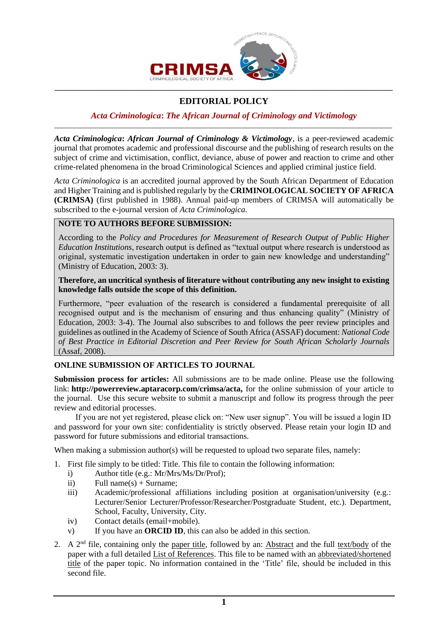

# **EDITORIAL POLICY**

#### *Acta Criminologica***:** *The African Journal of Criminology and Victimology* \_\_\_\_\_\_\_\_\_\_\_\_\_\_\_\_\_\_\_\_\_\_\_\_\_\_\_\_\_\_\_\_\_\_\_\_\_\_\_\_\_\_\_\_\_\_\_\_\_\_\_\_\_\_\_\_\_\_\_\_\_\_\_\_\_\_\_\_\_\_\_\_\_\_\_\_\_\_\_\_\_\_\_\_\_\_\_\_\_\_

*Acta Criminologica***:** *African Journal of Criminology & Victimology*, is a peer-reviewed academic journal that promotes academic and professional discourse and the publishing of research results on the subject of crime and victimisation, conflict, deviance, abuse of power and reaction to crime and other crime-related phenomena in the broad Criminological Sciences and applied criminal justice field.

*Acta Criminologica* is an accredited journal approved by the South African Department of Education and Higher Training and is published regularly by the **CRIMINOLOGICAL SOCIETY OF AFRICA (CRIMSA)** (first published in 1988). Annual paid-up members of CRIMSA will automatically be subscribed to the e-journal version of *Acta Criminologica.*

# **NOTE TO AUTHORS BEFORE SUBMISSION:**

According to the *Policy and Procedures for Measurement of Research Output of Public Higher Education Institutions*, research output is defined as "textual output where research is understood as original, systematic investigation undertaken in order to gain new knowledge and understanding" (Ministry of Education, 2003: 3).

#### **Therefore, an uncritical synthesis of literature without contributing any new insight to existing knowledge falls outside the scope of this definition.**

Furthermore, "peer evaluation of the research is considered a fundamental prerequisite of all recognised output and is the mechanism of ensuring and thus enhancing quality" (Ministry of Education, 2003: 3-4). The Journal also subscribes to and follows the peer review principles and guidelines as outlined in the Academy of Science of South Africa (ASSAF) document: *National Code of Best Practice in Editorial Discretion and Peer Review for South African Scholarly Journals*  (Assaf, 2008).

# **ONLINE SUBMISSION OF ARTICLES TO JOURNAL**

**Submission process for articles:** All submissions are to be made online. Please use the following link: **[http://powerreview.aptaracorp.com/crimsa/acta,](http://powerreview.aptaracorp.com/crimsa/acta)** for the online submission of your article to the journal. Use this secure website to submit a manuscript and follow its progress through the peer review and editorial processes.

If you are not yet registered, please click on: "New user signup". You will be issued a login ID and password for your own site: confidentiality is strictly observed. Please retain your login ID and password for future submissions and editorial transactions.

When making a submission author(s) will be requested to upload two separate files, namely:

- 1. First file simply to be titled: Title. This file to contain the following information:
	- i) Author title (e.g.: Mr/Mrs/Ms/Dr/Prof);
	- ii) Full name(s) + Surname:
	- iii) Academic/professional affiliations including position at organisation/university (e.g.: Lecturer/Senior Lecturer/Professor/Researcher/Postgraduate Student, etc.). Department, School, Faculty, University, City.
	- iv) Contact details (email+mobile).
	- v) If you have an **ORCID ID**, this can also be added in this section.
- 2. A  $2<sup>nd</sup>$  file, containing only the paper title, followed by an: Abstract and the full text/body of the paper with a full detailed List of References. This file to be named with an abbreviated/shortened title of the paper topic. No information contained in the 'Title' file, should be included in this second file.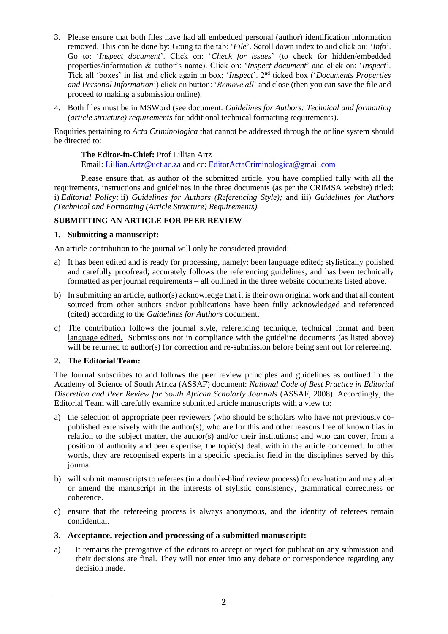- 3. Please ensure that both files have had all embedded personal (author) identification information removed. This can be done by: Going to the tab: '*File*'. Scroll down index to and click on: '*Info*'. Go to: '*Inspect document*'. Click on: '*Check for issues*' (to check for hidden/embedded properties/information & author's name). Click on: '*Inspect document*' and click on: '*Inspect*'. Tick all 'boxes' in list and click again in box: '*Inspect*'. 2nd ticked box ('*Documents Properties and Personal Information*') click on button: '*Remove all'* and close (then you can save the file and proceed to making a submission online).
- 4. Both files must be in MSWord (see document: *Guidelines for Authors: Technical and formatting (article structure) requirements* for additional technical formatting requirements).

Enquiries pertaining to *Acta Criminologica* that cannot be addressed through the online system should be directed to:

## **The Editor-in-Chief:** Prof Lillian Artz

Email: Lillian.Artz@uct.ac.za and cc: EditorActaCriminologica@gmail.com

Please ensure that, as author of the submitted article, you have complied fully with all the requirements, instructions and guidelines in the three documents (as per the CRIMSA website) titled: i) *Editorial Policy;* ii) *Guidelines for Authors (Referencing Style);* and iii) *Guidelines for Authors (Technical and Formatting (Article Structure) Requirements).*

## **SUBMITTING AN ARTICLE FOR PEER REVIEW**

#### **1. Submitting a manuscript:**

An article contribution to the journal will only be considered provided:

- a) It has been edited and is ready for processing, namely: been language edited; stylistically polished and carefully proofread; accurately follows the referencing guidelines; and has been technically formatted as per journal requirements – all outlined in the three website documents listed above.
- b) In submitting an article, author(s) acknowledge that it is their own original work and that all content sourced from other authors and/or publications have been fully acknowledged and referenced (cited) according to the *Guidelines for Authors* document.
- c) The contribution follows the journal style, referencing technique, technical format and been language edited. Submissions not in compliance with the guideline documents (as listed above) will be returned to author(s) for correction and re-submission before being sent out for refereeing.

## **2. The Editorial Team:**

The Journal subscribes to and follows the peer review principles and guidelines as outlined in the Academy of Science of South Africa (ASSAF) document: *National Code of Best Practice in Editorial Discretion and Peer Review for South African Scholarly Journals* (ASSAF, 2008). Accordingly, the Editorial Team will carefully examine submitted article manuscripts with a view to:

- a) the selection of appropriate peer reviewers (who should be scholars who have not previously copublished extensively with the author(s); who are for this and other reasons free of known bias in relation to the subject matter, the author(s) and/or their institutions; and who can cover, from a position of authority and peer expertise, the topic(s) dealt with in the article concerned. In other words, they are recognised experts in a specific specialist field in the disciplines served by this journal.
- b) will submit manuscripts to referees (in a double-blind review process) for evaluation and may alter or amend the manuscript in the interests of stylistic consistency, grammatical correctness or coherence.
- c) ensure that the refereeing process is always anonymous, and the identity of referees remain confidential.

## **3. Acceptance, rejection and processing of a submitted manuscript:**

a) It remains the prerogative of the editors to accept or reject for publication any submission and their decisions are final. They will not enter into any debate or correspondence regarding any decision made.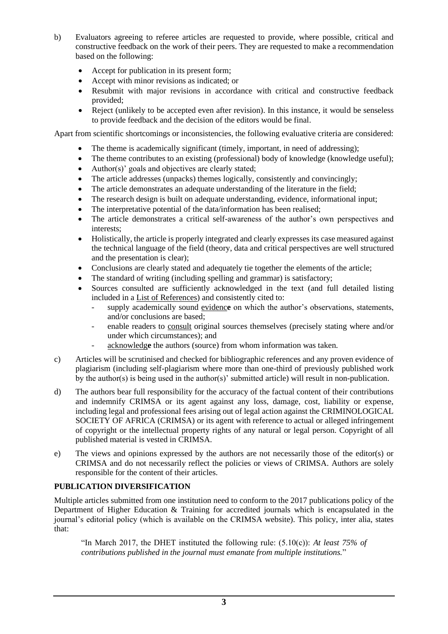- b) Evaluators agreeing to referee articles are requested to provide, where possible, critical and constructive feedback on the work of their peers. They are requested to make a recommendation based on the following:
	- Accept for publication in its present form;
	- Accept with minor revisions as indicated; or
	- Resubmit with major revisions in accordance with critical and constructive feedback provided;
	- Reject (unlikely to be accepted even after revision). In this instance, it would be senseless to provide feedback and the decision of the editors would be final.

Apart from scientific shortcomings or inconsistencies, the following evaluative criteria are considered:

- The theme is academically significant (timely, important, in need of addressing);
- The theme contributes to an existing (professional) body of knowledge (knowledge useful);
- Author(s)' goals and objectives are clearly stated;
- The article addresses (unpacks) themes logically, consistently and convincingly;
- The article demonstrates an adequate understanding of the literature in the field;
- The research design is built on adequate understanding, evidence, informational input;
- The interpretative potential of the data/information has been realised;
- The article demonstrates a critical self-awareness of the author's own perspectives and interests;
- Holistically, the article is properly integrated and clearly expresses its case measured against the technical language of the field (theory, data and critical perspectives are well structured and the presentation is clear);
- Conclusions are clearly stated and adequately tie together the elements of the article;
- The standard of writing (including spelling and grammar) is satisfactory;
- Sources consulted are sufficiently acknowledged in the text (and full detailed listing included in a List of References) and consistently cited to:
	- supply academically sound evidence on which the author's observations, statements, and/or conclusions are based;
	- enable readers to consult original sources themselves (precisely stating where and/or under which circumstances); and
	- acknowledge the authors (source) from whom information was taken.
- c) Articles will be scrutinised and checked for bibliographic references and any proven evidence of plagiarism (including self-plagiarism where more than one-third of previously published work by the author(s) is being used in the author(s)' submitted article) will result in non-publication.
- d) The authors bear full responsibility for the accuracy of the factual content of their contributions and indemnify CRIMSA or its agent against any loss, damage, cost, liability or expense, including legal and professional fees arising out of legal action against the CRIMINOLOGICAL SOCIETY OF AFRICA (CRIMSA) or its agent with reference to actual or alleged infringement of copyright or the intellectual property rights of any natural or legal person. Copyright of all published material is vested in CRIMSA.
- e) The views and opinions expressed by the authors are not necessarily those of the editor(s) or CRIMSA and do not necessarily reflect the policies or views of CRIMSA. Authors are solely responsible for the content of their articles.

# **PUBLICATION DIVERSIFICATION**

Multiple articles submitted from one institution need to conform to the 2017 publications policy of the Department of Higher Education & Training for accredited journals which is encapsulated in the journal's editorial policy (which is available on the CRIMSA website). This policy, inter alia, states that:

"In March 2017, the DHET instituted the following rule: (5.10(c)): *At least 75% of contributions published in the journal must emanate from multiple institutions.*"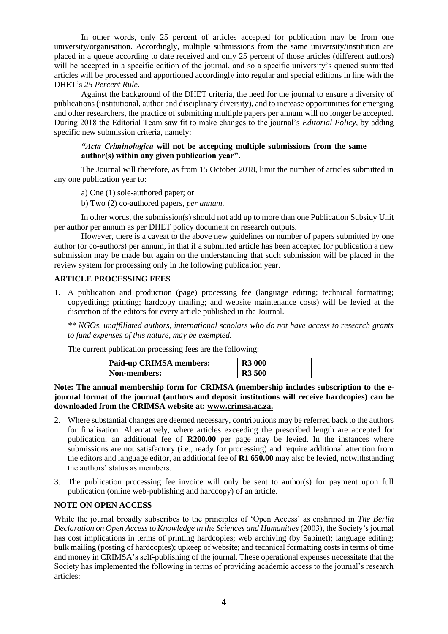In other words, only 25 percent of articles accepted for publication may be from one university/organisation. Accordingly, multiple submissions from the same university/institution are placed in a queue according to date received and only 25 percent of those articles (different authors) will be accepted in a specific edition of the journal, and so a specific university's queued submitted articles will be processed and apportioned accordingly into regular and special editions in line with the DHET's *25 Percent Rule*.

Against the background of the DHET criteria, the need for the journal to ensure a diversity of publications (institutional, author and disciplinary diversity), and to increase opportunities for emerging and other researchers, the practice of submitting multiple papers per annum will no longer be accepted. During 2018 the Editorial Team saw fit to make changes to the journal's *Editorial Policy,* by adding specific new submission criteria, namely:

#### *"Acta Criminologica* **will not be accepting multiple submissions from the same author(s) within any given publication year".**

The Journal will therefore, as from 15 October 2018, limit the number of articles submitted in any one publication year to:

a) One (1) sole-authored paper; or

b) Two (2) co-authored papers, *per annum*.

In other words, the submission(s) should not add up to more than one Publication Subsidy Unit per author per annum as per DHET policy document on research outputs.

However, there is a caveat to the above new guidelines on number of papers submitted by one author (or co-authors) per annum, in that if a submitted article has been accepted for publication a new submission may be made but again on the understanding that such submission will be placed in the review system for processing only in the following publication year.

#### **ARTICLE PROCESSING FEES**

1. A publication and production (page) processing fee (language editing; technical formatting; copyediting; printing; hardcopy mailing; and website maintenance costs) will be levied at the discretion of the editors for every article published in the Journal.

*\*\* NGOs, unaffiliated authors, international scholars who do not have access to research grants to fund expenses of this nature, may be exempted.* 

The current publication processing fees are the following:

| <b>Paid-up CRIMSA members:</b> | <b>R3 000</b> |
|--------------------------------|---------------|
| Non-members:                   | <b>R3 500</b> |

**Note: The annual membership form for CRIMSA (membership includes subscription to the ejournal format of the journal (authors and deposit institutions will receive hardcopies) can be downloaded from the CRIMSA website at: [www.crimsa.ac.za.](http://www.crimsa.ac.za/)**

- 2. Where substantial changes are deemed necessary, contributions may be referred back to the authors for finalisation. Alternatively, where articles exceeding the prescribed length are accepted for publication, an additional fee of **R200.00** per page may be levied. In the instances where submissions are not satisfactory (i.e., ready for processing) and require additional attention from the editors and language editor, an additional fee of **R1 650.00** may also be levied, notwithstanding the authors' status as members.
- 3. The publication processing fee invoice will only be sent to author(s) for payment upon full publication (online web-publishing and hardcopy) of an article.

## **NOTE ON OPEN ACCESS**

While the journal broadly subscribes to the principles of 'Open Access' as enshrined in *The Berlin Declaration on Open Access to Knowledge in the Sciences and Humanities* (2003), the Society's journal has cost implications in terms of printing hardcopies; web archiving (by Sabinet); language editing; bulk mailing (posting of hardcopies); upkeep of website; and technical formatting costs in terms of time and money in CRIMSA's self-publishing of the journal. These operational expenses necessitate that the Society has implemented the following in terms of providing academic access to the journal's research articles: